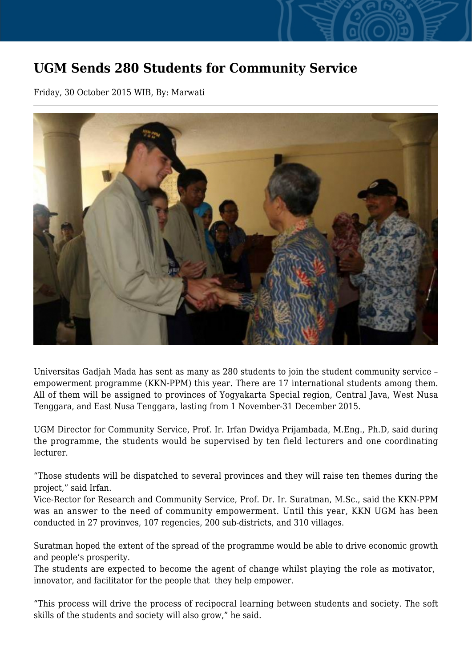## **UGM Sends 280 Students for Community Service**

Friday, 30 October 2015 WIB, By: Marwati



Universitas Gadjah Mada has sent as many as 280 students to join the student community service – empowerment programme (KKN-PPM) this year. There are 17 international students among them. All of them will be assigned to provinces of Yogyakarta Special region, Central Java, West Nusa Tenggara, and East Nusa Tenggara, lasting from 1 November-31 December 2015.

UGM Director for Community Service, Prof. Ir. Irfan Dwidya Prijambada, M.Eng., Ph.D, said during the programme, the students would be supervised by ten field lecturers and one coordinating lecturer.

"Those students will be dispatched to several provinces and they will raise ten themes during the project," said Irfan.

Vice-Rector for Research and Community Service, Prof. Dr. Ir. Suratman, M.Sc., said the KKN-PPM was an answer to the need of community empowerment. Until this year, KKN UGM has been conducted in 27 provinves, 107 regencies, 200 sub-districts, and 310 villages.

Suratman hoped the extent of the spread of the programme would be able to drive economic growth and people's prosperity.

The students are expected to become the agent of change whilst playing the role as motivator, innovator, and facilitator for the people that they help empower.

"This process will drive the process of recipocral learning between students and society. The soft skills of the students and society will also grow," he said.